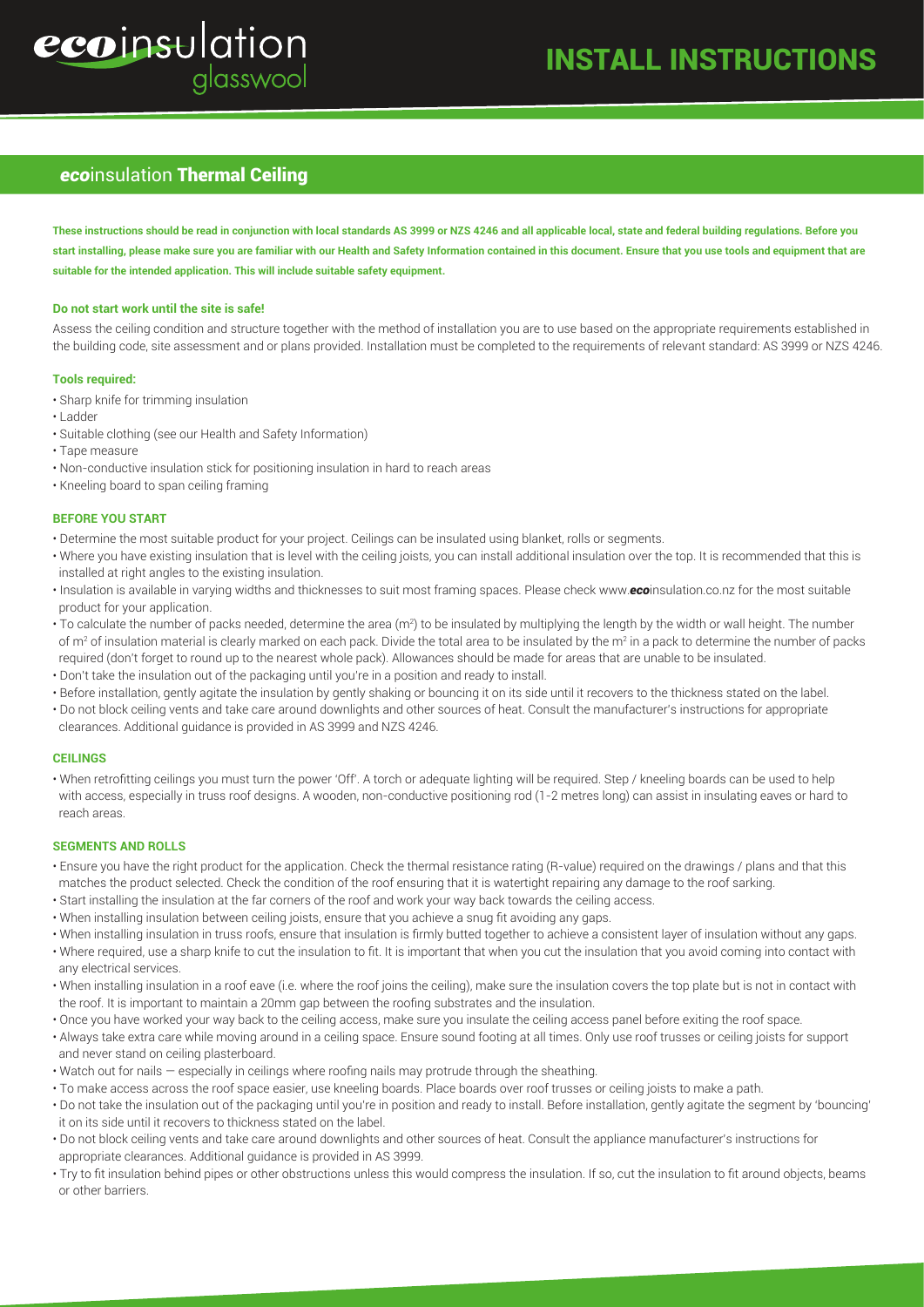# ecoinsulation glasswool

# INSTALL INSTRUCTIONS

# *eco*insulation Thermal Ceiling

**These instructions should be read in conjunction with local standards AS 3999 or NZS 4246 and all applicable local, state and federal building regulations. Before you start installing, please make sure you are familiar with our Health and Safety Information contained in this document. Ensure that you use tools and equipment that are suitable for the intended application. This will include suitable safety equipment.**

#### **Do not start work until the site is safe!**

Assess the ceiling condition and structure together with the method of installation you are to use based on the appropriate requirements established in the building code, site assessment and or plans provided. Installation must be completed to the requirements of relevant standard: AS 3999 or NZS 4246.

#### **Tools required:**

- Sharp knife for trimming insulation
- Ladder
- Suitable clothing (see our Health and Safety Information)
- Tape measure
- Non-conductive insulation stick for positioning insulation in hard to reach areas
- Kneeling board to span ceiling framing

#### **BEFORE YOU START**

- Determine the most suitable product for your project. Ceilings can be insulated using blanket, rolls or segments.
- Where you have existing insulation that is level with the ceiling joists, you can install additional insulation over the top. It is recommended that this is installed at right angles to the existing insulation.
- Insulation is available in varying widths and thicknesses to suit most framing spaces. Please check www.*eco*insulation.co.nz for the most suitable product for your application.
- $\cdot$  To calculate the number of packs needed, determine the area (m²) to be insulated by multiplying the length by the width or wall height. The number of m<sup>2</sup> of insulation material is clearly marked on each pack. Divide the total area to be insulated by the m<sup>2</sup> in a pack to determine the number of packs required (don't forget to round up to the nearest whole pack). Allowances should be made for areas that are unable to be insulated.
- Don't take the insulation out of the packaging until you're in a position and ready to install.
- Before installation, gently agitate the insulation by gently shaking or bouncing it on its side until it recovers to the thickness stated on the label.
- Do not block ceiling vents and take care around downlights and other sources of heat. Consult the manufacturer's instructions for appropriate clearances. Additional guidance is provided in AS 3999 and NZS 4246.

#### **CEILINGS**

• When retrofitting ceilings you must turn the power 'Off'. A torch or adequate lighting will be required. Step / kneeling boards can be used to help with access, especially in truss roof designs. A wooden, non-conductive positioning rod (1-2 metres long) can assist in insulating eaves or hard to reach areas.

#### **SEGMENTS AND ROLLS**

- Ensure you have the right product for the application. Check the thermal resistance rating (R-value) required on the drawings / plans and that this matches the product selected. Check the condition of the roof ensuring that it is watertight repairing any damage to the roof sarking.
- Start installing the insulation at the far corners of the roof and work your way back towards the ceiling access.
- When installing insulation between ceiling joists, ensure that you achieve a snug fit avoiding any gaps.
- When installing insulation in truss roofs, ensure that insulation is firmly butted together to achieve a consistent layer of insulation without any gaps.
- Where required, use a sharp knife to cut the insulation to fit. It is important that when you cut the insulation that you avoid coming into contact with any electrical services.
- When installing insulation in a roof eave (i.e. where the roof joins the ceiling), make sure the insulation covers the top plate but is not in contact with the roof. It is important to maintain a 20mm gap between the roofing substrates and the insulation.
- Once you have worked your way back to the ceiling access, make sure you insulate the ceiling access panel before exiting the roof space.
- Always take extra care while moving around in a ceiling space. Ensure sound footing at all times. Only use roof trusses or ceiling joists for support and never stand on ceiling plasterboard.
- Watch out for nails especially in ceilings where roofing nails may protrude through the sheathing.
- To make access across the roof space easier, use kneeling boards. Place boards over roof trusses or ceiling joists to make a path.
- Do not take the insulation out of the packaging until you're in position and ready to install. Before installation, gently agitate the segment by 'bouncing' it on its side until it recovers to thickness stated on the label.
- Do not block ceiling vents and take care around downlights and other sources of heat. Consult the appliance manufacturer's instructions for appropriate clearances. Additional guidance is provided in AS 3999.
- Try to fit insulation behind pipes or other obstructions unless this would compress the insulation. If so, cut the insulation to fit around objects, beams or other barriers.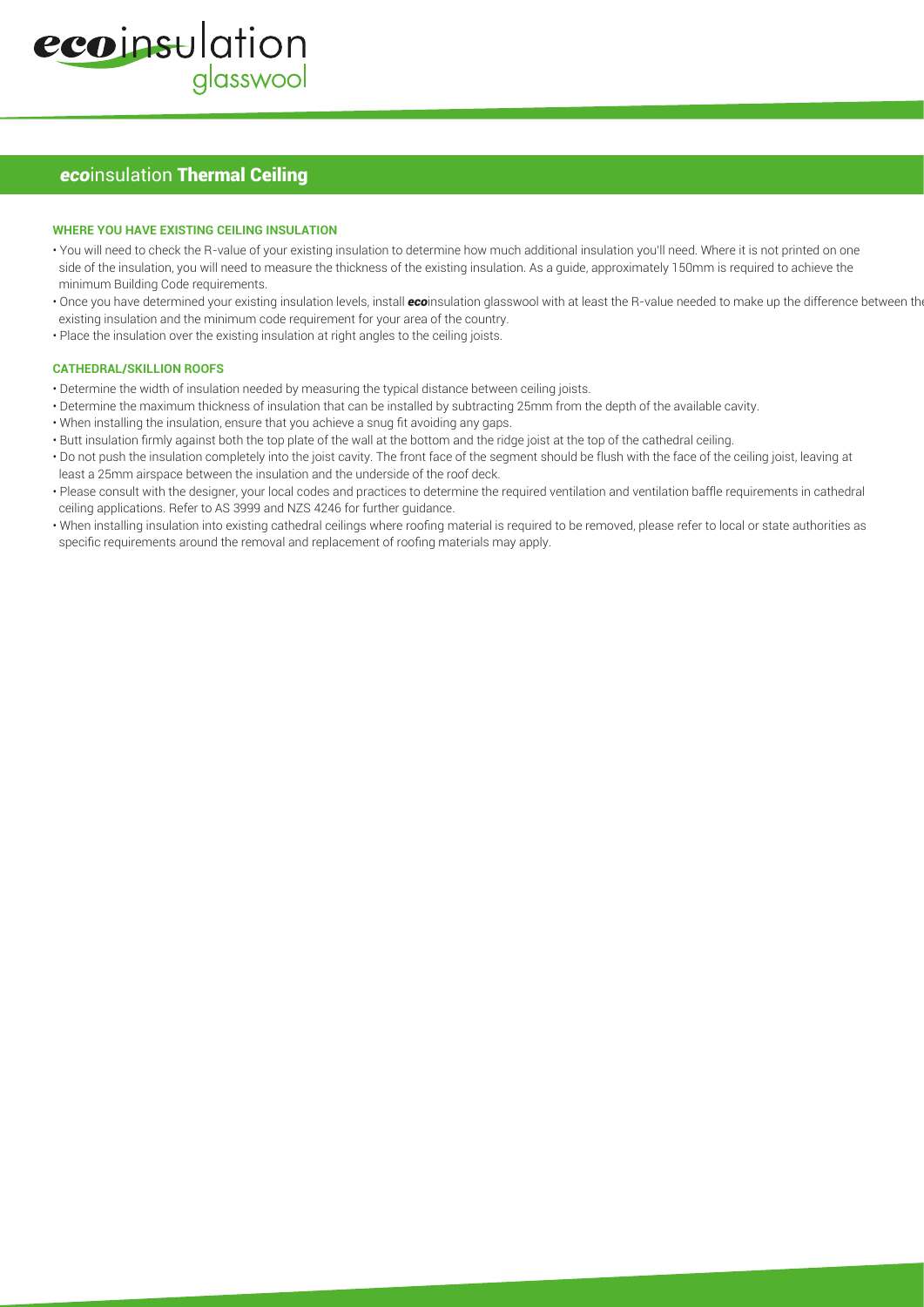# *ecoinsulation Thermal Ceiling*

#### **WHERE YOU HAVE EXISTING CEILING INSULATION**

- You will need to check the R-value of your existing insulation to determine how much additional insulation you'll need. Where it is not printed on one side of the insulation, you will need to measure the thickness of the existing insulation. As a guide, approximately 150mm is required to achieve the minimum Building Code requirements.
- Once you have determined your existing insulation levels, install *eco*insulation glasswool with at least the R-value needed to make up the difference between the existing insulation and the minimum code requirement for your area of the country.
- Place the insulation over the existing insulation at right angles to the ceiling joists.

#### **CATHEDRAL/SKILLION ROOFS**

- Determine the width of insulation needed by measuring the typical distance between ceiling joists.
- Determine the maximum thickness of insulation that can be installed by subtracting 25mm from the depth of the available cavity.
- When installing the insulation, ensure that you achieve a snug fit avoiding any gaps.
- Butt insulation firmly against both the top plate of the wall at the bottom and the ridge joist at the top of the cathedral ceiling.
- Do not push the insulation completely into the joist cavity. The front face of the segment should be flush with the face of the ceiling joist, leaving at least a 25mm airspace between the insulation and the underside of the roof deck.
- Please consult with the designer, your local codes and practices to determine the required ventilation and ventilation baffle requirements in cathedral ceiling applications. Refer to AS 3999 and NZS 4246 for further guidance.
- When installing insulation into existing cathedral ceilings where roofing material is required to be removed, please refer to local or state authorities as specific requirements around the removal and replacement of roofing materials may apply.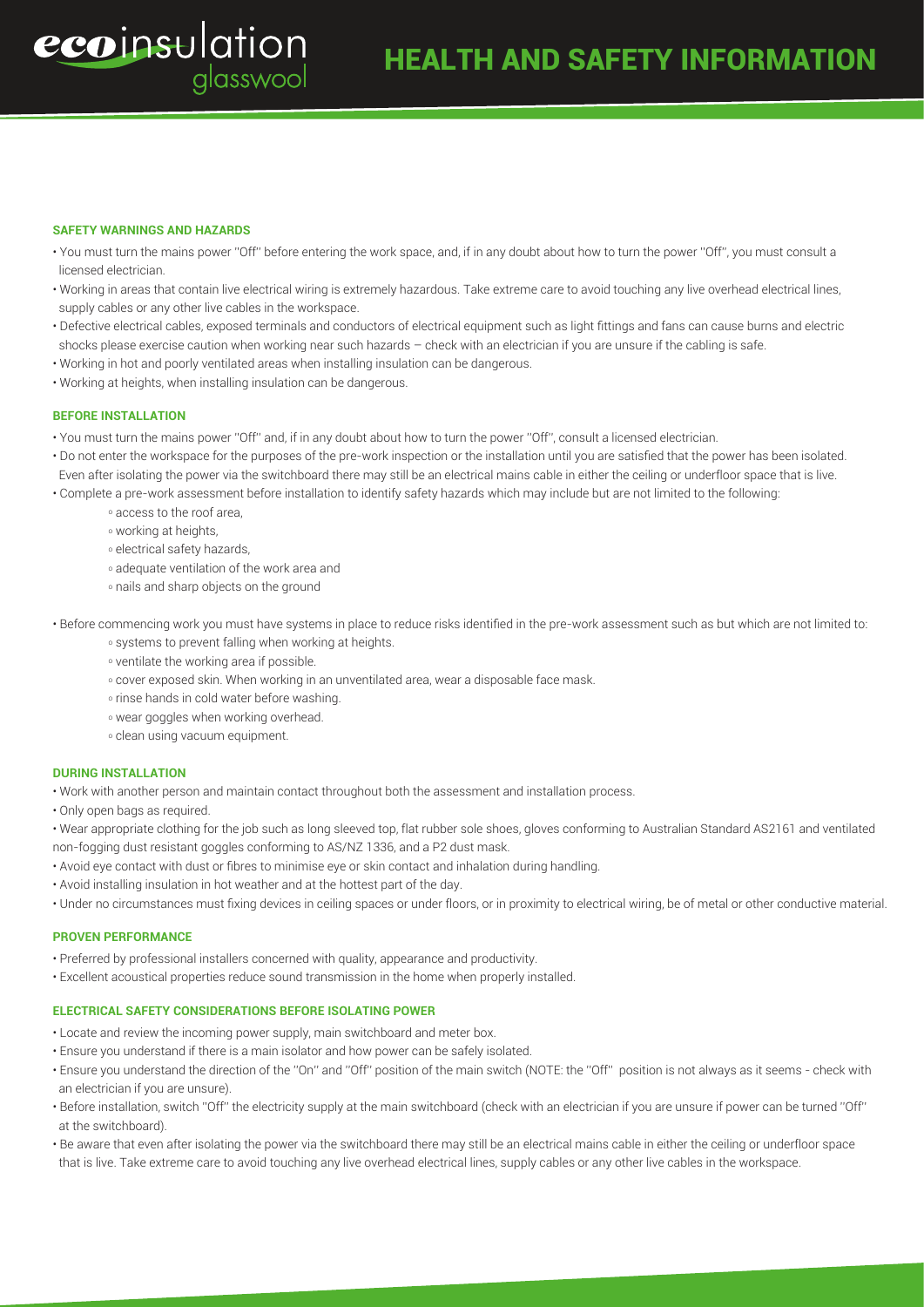#### **SAFETY WARNINGS AND HAZARDS**

ecoinsulation

- You must turn the mains power ''Off'' before entering the work space, and, if in any doubt about how to turn the power ''Off'', you must consult a licensed electrician.
- Working in areas that contain live electrical wiring is extremely hazardous. Take extreme care to avoid touching any live overhead electrical lines, supply cables or any other live cables in the workspace.
- Defective electrical cables, exposed terminals and conductors of electrical equipment such as light fittings and fans can cause burns and electric shocks please exercise caution when working near such hazards – check with an electrician if you are unsure if the cabling is safe.
- Working in hot and poorly ventilated areas when installing insulation can be dangerous.
- Working at heights, when installing insulation can be dangerous.

alasswool

### **BEFORE INSTALLATION**

- You must turn the mains power ''Off'' and, if in any doubt about how to turn the power ''Off'', consult a licensed electrician.
- Do not enter the workspace for the purposes of the pre-work inspection or the installation until you are satisfied that the power has been isolated. Even after isolating the power via the switchboard there may still be an electrical mains cable in either the ceiling or underfloor space that is live. • Complete a pre-work assessment before installation to identify safety hazards which may include but are not limited to the following:
- - o access to the roof area,
	- o working at heights,
	- o electrical safety hazards,
	- o adequate ventilation of the work area and
	- o nails and sharp objects on the ground
- Before commencing work you must have systems in place to reduce risks identified in the pre-work assessment such as but which are not limited to:
	- o systems to prevent falling when working at heights.
	- o ventilate the working area if possible.
	- o cover exposed skin. When working in an unventilated area, wear a disposable face mask.
	- o rinse hands in cold water before washing.
	- o wear goggles when working overhead.
	- o clean using vacuum equipment.

## **DURING INSTALLATION**

- Work with another person and maintain contact throughout both the assessment and installation process.
- Only open bags as required.
- Wear appropriate clothing for the job such as long sleeved top, flat rubber sole shoes, gloves conforming to Australian Standard AS2161 and ventilated non-fogging dust resistant goggles conforming to AS/NZ 1336, and a P2 dust mask.
- Avoid eye contact with dust or fibres to minimise eye or skin contact and inhalation during handling.
- Avoid installing insulation in hot weather and at the hottest part of the day.
- Under no circumstances must fixing devices in ceiling spaces or under floors, or in proximity to electrical wiring, be of metal or other conductive material.

#### **PROVEN PERFORMANCE**

- Preferred by professional installers concerned with quality, appearance and productivity.
- Excellent acoustical properties reduce sound transmission in the home when properly installed.

### **ELECTRICAL SAFETY CONSIDERATIONS BEFORE ISOLATING POWER**

- Locate and review the incoming power supply, main switchboard and meter box.
- Ensure you understand if there is a main isolator and how power can be safely isolated.
- Ensure you understand the direction of the ''On'' and ''Off'' position of the main switch (NOTE: the ''Off'' position is not always as it seems check with an electrician if you are unsure).
- Before installation, switch ''Off'' the electricity supply at the main switchboard (check with an electrician if you are unsure if power can be turned ''Off'' at the switchboard).
- Be aware that even after isolating the power via the switchboard there may still be an electrical mains cable in either the ceiling or underfloor space that is live. Take extreme care to avoid touching any live overhead electrical lines, supply cables or any other live cables in the workspace.